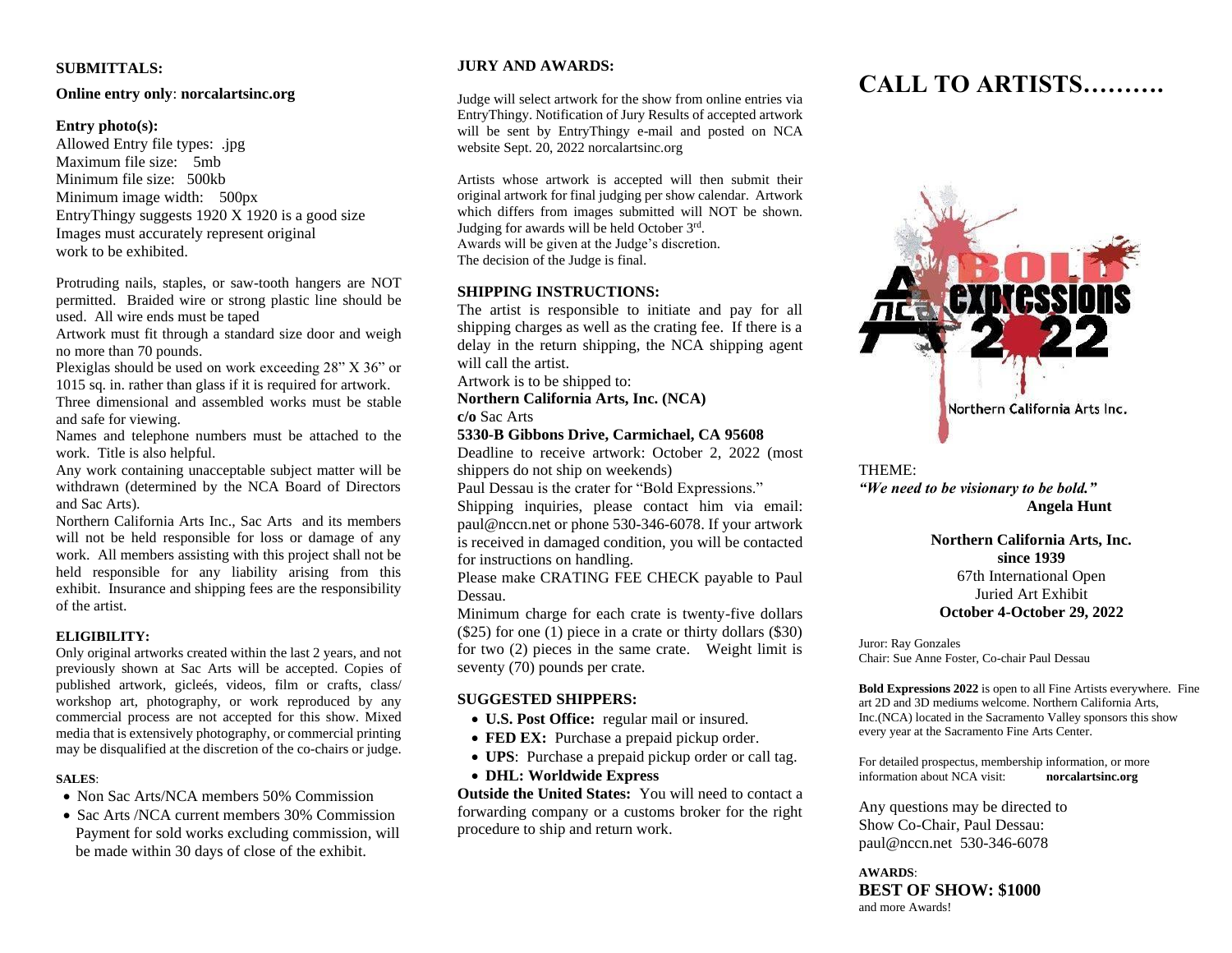#### **SUBMITTALS:**

#### **Online entry only**: **norcalartsinc.org**

#### **Entry photo(s):**

Allowed Entry file types: .jpg Maximum file size: 5mb Minimum file size: 500kb Minimum image width: 500px EntryThingy suggests 1920 X 1920 is a good size Images must accurately represent original work to be exhibited.

Protruding nails, staples, or saw-tooth hangers are NOT permitted. Braided wire or strong plastic line should be used. All wire ends must be taped

Artwork must fit through a standard size door and weigh no more than 70 pounds.

Plexiglas should be used on work exceeding 28" X 36" or 1015 sq. in. rather than glass if it is required for artwork.

Three dimensional and assembled works must be stable and safe for viewing.

Names and telephone numbers must be attached to the work. Title is also helpful.

Any work containing unacceptable subject matter will be withdrawn (determined by the NCA Board of Directors and Sac Arts).

Northern California Arts Inc., Sac Arts and its members will not be held responsible for loss or damage of any work. All members assisting with this project shall not be held responsible for any liability arising from this exhibit. Insurance and shipping fees are the responsibility of the artist.

#### **ELIGIBILITY:**

Only original artworks created within the last 2 years, and not previously shown at Sac Arts will be accepted. Copies of published artwork, gicleés, videos, film or crafts, class/ workshop art, photography, or work reproduced by any commercial process are not accepted for this show. Mixed media that is extensively photography, or commercial printing may be disqualified at the discretion of the co-chairs or judge.

#### **SALES**:

- Non Sac Arts/NCA members 50% Commission
- Sac Arts /NCA current members 30% Commission Payment for sold works excluding commission, will be made within 30 days of close of the exhibit.

#### **JURY AND AWARDS:**

Judge will select artwork for the show from online entries via EntryThingy. Notification of Jury Results of accepted artwork will be sent by EntryThingy e-mail and posted on NCA website Sept. 20, 2022 norcalartsinc.org

Artists whose artwork is accepted will then submit their original artwork for final judging per show calendar. Artwork which differs from images submitted will NOT be shown. Judging for awards will be held October 3rd. Awards will be given at the Judge's discretion. The decision of the Judge is final.

### **SHIPPING INSTRUCTIONS:**

The artist is responsible to initiate and pay for all shipping charges as well as the crating fee. If there is a delay in the return shipping, the NCA shipping agent will call the artist.

Artwork is to be shipped to:

**Northern California Arts, Inc. (NCA)**

**c/o** Sac Arts

#### **5330-B Gibbons Drive, Carmichael, CA 95608**

Deadline to receive artwork: October 2, 2022 (most shippers do not ship on weekends)

Paul Dessau is the crater for "Bold Expressions."

Shipping inquiries, please contact him via email: paul@nccn.net or phone 530-346-6078. If your artwork is received in damaged condition, you will be contacted for instructions on handling.

Please make CRATING FEE CHECK payable to Paul Dessau.

Minimum charge for each crate is twenty-five dollars (\$25) for one (1) piece in a crate or thirty dollars (\$30) for two (2) pieces in the same crate. Weight limit is seventy (70) pounds per crate.

#### **SUGGESTED SHIPPERS:**

- **U.S. Post Office:** regular mail or insured.
- **FED EX:** Purchase a prepaid pickup order.
- **UPS**: Purchase a prepaid pickup order or call tag.
- **DHL: Worldwide Express**

**Outside the United States:** You will need to contact a forwarding company or a customs broker for the right procedure to ship and return work.

# **CALL TO ARTISTS……….**



THEME:

*"We need to be visionary to be bold."* **Angela Hunt**

> **Northern California Arts, Inc. since 1939** 67th International Open Juried Art Exhibit **October 4-October 29, 2022**

Juror: Ray Gonzales Chair: Sue Anne Foster, Co-chair Paul Dessau

**Bold Expressions 2022** is open to all Fine Artists everywhere. Fine art 2D and 3D mediums welcome. Northern California Arts, Inc.(NCA) located in the Sacramento Valley sponsors this show every year at the Sacramento Fine Arts Center.

For detailed prospectus, membership information, or more information about NCA visit: **norcalartsinc.org**

Any questions may be directed to Show Co-Chair, Paul Dessau: [paul@nccn.net](mailto:paul@nccn.net) 530-346-6078

**AWARDS**: **BEST OF SHOW: \$1000** and more Awards!